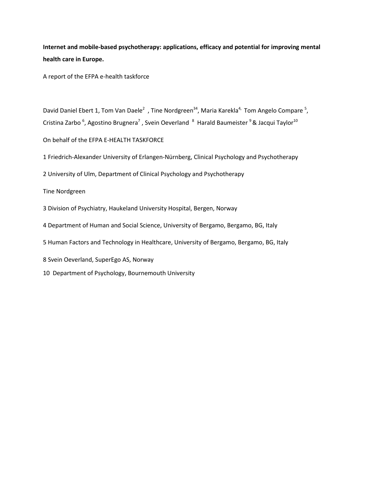**Internet and mobile-based psychotherapy: applications, efficacy and potential for improving mental health care in Europe.**

A report of the EFPA e-health taskforce

David Daniel Ebert 1, Tom Van Daele<sup>2</sup>, Tine Nordgreen<sup>34</sup>, Maria Karekla<sup>4,</sup> Tom Angelo Compare<sup>5</sup>, Cristina Zarbo <sup>6</sup>, Agostino Brugnera<sup>7</sup>, Svein Oeverland <sup>8</sup> Harald Baumeister <sup>9</sup> & Jacqui Taylor<sup>10</sup>

On behalf of the EFPA E-HEALTH TASKFORCE

1 Friedrich-Alexander University of Erlangen-Nürnberg, Clinical Psychology and Psychotherapy

2 University of Ulm, Department of Clinical Psychology and Psychotherapy

Tine Nordgreen

3 Division of Psychiatry, Haukeland University Hospital, Bergen, Norway

4 Department of Human and Social Science, University of Bergamo, Bergamo, BG, Italy

5 Human Factors and Technology in Healthcare, University of Bergamo, Bergamo, BG, Italy

8 Svein Oeverland, SuperEgo AS, Norway

10 Department of Psychology, Bournemouth University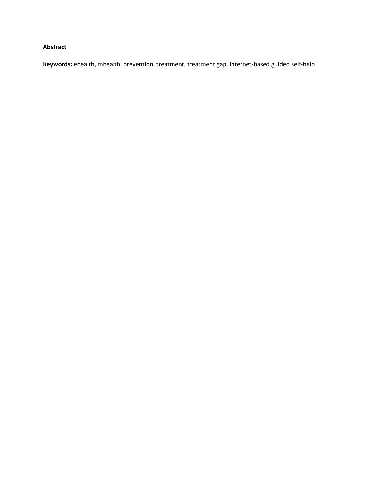# **Abstract**

**Keywords:** ehealth, mhealth, prevention, treatment, treatment gap, internet-based guided self-help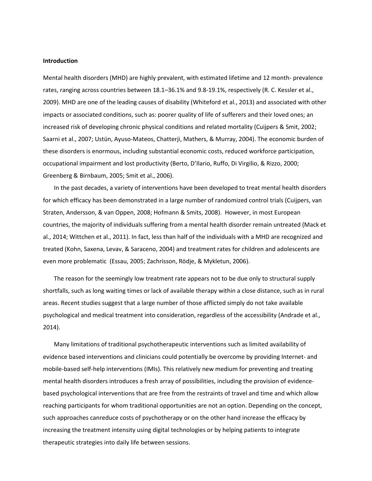# **Introduction**

Mental health disorders (MHD) are highly prevalent, with estimated lifetime and 12 month- prevalence rates, ranging across countries between 18.1–36.1% and 9.8-19.1%, respectively (R. C. Kessler et al., 2009). MHD are one of the leading causes of disability (Whiteford et al., 2013) and associated with other impacts or associated conditions, such as: poorer quality of life of sufferers and their loved ones; an increased risk of developing chronic physical conditions and related mortality (Cuijpers & Smit, 2002; Saarni et al., 2007; Ustün, Ayuso-Mateos, Chatterji, Mathers, & Murray, 2004). The economic burden of these disorders is enormous, including substantial economic costs, reduced workforce participation, occupational impairment and lost productivity (Berto, D'Ilario, Ruffo, Di Virgilio, & Rizzo, 2000; Greenberg & Birnbaum, 2005; Smit et al., 2006).

In the past decades, a variety of interventions have been developed to treat mental health disorders for which efficacy has been demonstrated in a large number of randomized control trials (Cuijpers, van Straten, Andersson, & van Oppen, 2008; Hofmann & Smits, 2008). However, in most European countries, the majority of individuals suffering from a mental health disorder remain untreated (Mack et al., 2014; Wittchen et al., 2011). In fact, less than half of the individuals with a MHD are recognized and treated (Kohn, Saxena, Levav, & Saraceno, 2004) and treatment rates for children and adolescents are even more problematic (Essau, 2005; Zachrisson, Rödje, & Mykletun, 2006).

The reason for the seemingly low treatment rate appears not to be due only to structural supply shortfalls, such as long waiting times or lack of available therapy within a close distance, such as in rural areas. Recent studies suggest that a large number of those afflicted simply do not take available psychological and medical treatment into consideration, regardless of the accessibility (Andrade et al., 2014).

Many limitations of traditional psychotherapeutic interventions such as limited availability of evidence based interventions and clinicians could potentially be overcome by providing Internet- and mobile-based self-help interventions (IMIs). This relatively new medium for preventing and treating mental health disorders introduces a fresh array of possibilities, including the provision of evidencebased psychological interventions that are free from the restraints of travel and time and which allow reaching participants for whom traditional opportunities are not an option. Depending on the concept, such approaches canreduce costs of psychotherapy or on the other hand increase the efficacy by increasing the treatment intensity using digital technologies or by helping patients to integrate therapeutic strategies into daily life between sessions.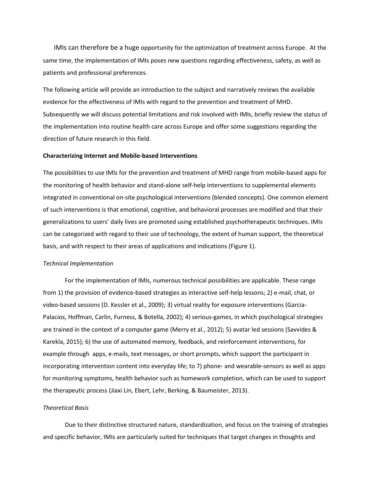IMIs can therefore be a huge opportunity for the optimization of treatment across Europe. At the same time, the implementation of IMIs poses new questions regarding effectiveness, safety, as well as patients and professional preferences.

The following article will provide an introduction to the subject and narratively reviews the available evidence for the effectiveness of IMIs with regard to the prevention and treatment of MHD. Subsequently we will discuss potential limitations and risk involved with IMIs, briefly review the status of the implementation into routine health care across Europe and offer some suggestions regarding the direction of future research in this field.

#### **Characterizing Internet and Mobile-based Interventions**

The possibilities to use IMIs for the prevention and treatment of MHD range from mobile-based apps for the monitoring of health behavior and stand-alone self-help interventions to supplemental elements integrated in conventional on-site psychological interventions (blended concepts). One common element of such interventions is that emotional, cognitive, and behavioral processes are modified and that their generalizations to users' daily lives are promoted using established psychotherapeutic techniques. IMIs can be categorized with regard to their use of technology, the extent of human support, the theoretical basis, and with respect to their areas of applications and indications (Figure 1).

# *Technical Implementation*

For the implementation of IMIs, numerous technical possibilities are applicable. These range from 1) the provision of evidence-based strategies as interactive self-help lessons; 2) e-mail, chat, or video-based sessions (D. Kessler et al., 2009); 3) virtual reality for exposure interventions (Garcia-Palacios, Hoffman, Carlin, Furness, & Botella, 2002); 4) serious-games, in which psychological strategies are trained in the context of a computer game (Merry et al., 2012); 5) avatar led sessions (Savvides & Karekla, 2015); 6) the use of automated memory, feedback, and reinforcement interventions, for example through apps, e-mails, text messages, or short prompts, which support the participant in incorporating intervention content into everyday life; to 7) phone- and wearable-sensors as well as apps for monitoring symptoms, health behavior such as homework completion, which can be used to support the therapeutic process (Jiaxi Lin, Ebert, Lehr, Berking, & Baumeister, 2013).

# *Theoretical Basis*

Due to their distinctive structured nature, standardization, and focus on the training of strategies and specific behavior, IMIs are particularly suited for techniques that target changes in thoughts and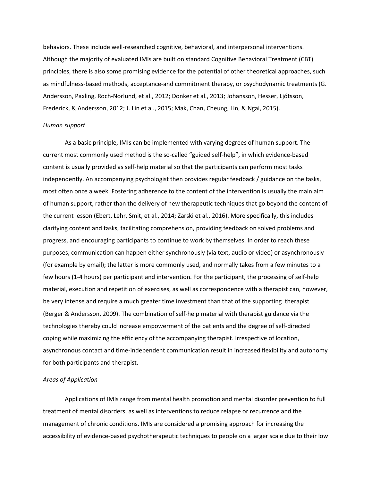behaviors. These include well-researched cognitive, behavioral, and interpersonal interventions. Although the majority of evaluated IMIs are built on standard Cognitive Behavioral Treatment (CBT) principles, there is also some promising evidence for the potential of other theoretical approaches, such as mindfulness-based methods, acceptance-and commitment therapy, or psychodynamic treatments (G. Andersson, Paxling, Roch-Norlund, et al., 2012; Donker et al., 2013; Johansson, Hesser, Ljótsson, Frederick, & Andersson, 2012; J. Lin et al., 2015; Mak, Chan, Cheung, Lin, & Ngai, 2015).

#### *Human support*

As a basic principle, IMIs can be implemented with varying degrees of human support. The current most commonly used method is the so-called "guided self-help", in which evidence-based content is usually provided as self-help material so that the participants can perform most tasks independently. An accompanying psychologist then provides regular feedback / guidance on the tasks, most often once a week. Fostering adherence to the content of the intervention is usually the main aim of human support, rather than the delivery of new therapeutic techniques that go beyond the content of the current lesson (Ebert, Lehr, Smit, et al., 2014; Zarski et al., 2016). More specifically, this includes clarifying content and tasks, facilitating comprehension, providing feedback on solved problems and progress, and encouraging participants to continue to work by themselves. In order to reach these purposes, communication can happen either synchronously (via text, audio or video) or asynchronously (for example by email); the latter is more commonly used, and normally takes from a few minutes to a few hours (1-4 hours) per participant and intervention. For the participant, the processing of self-help material, execution and repetition of exercises, as well as correspondence with a therapist can, however, be very intense and require a much greater time investment than that of the supporting therapist (Berger & Andersson, 2009). The combination of self-help material with therapist guidance via the technologies thereby could increase empowerment of the patients and the degree of self-directed coping while maximizing the efficiency of the accompanying therapist. Irrespective of location, asynchronous contact and time-independent communication result in increased flexibility and autonomy for both participants and therapist.

# *Areas of Application*

Applications of IMIs range from mental health promotion and mental disorder prevention to full treatment of mental disorders, as well as interventions to reduce relapse or recurrence and the management of chronic conditions. IMIs are considered a promising approach for increasing the accessibility of evidence-based psychotherapeutic techniques to people on a larger scale due to their low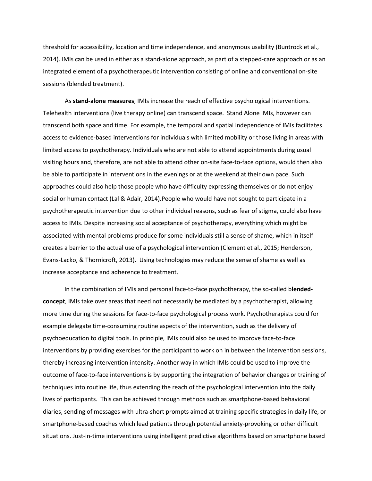threshold for accessibility, location and time independence, and anonymous usability (Buntrock et al., 2014). IMIs can be used in either as a stand-alone approach, as part of a stepped-care approach or as an integrated element of a psychotherapeutic intervention consisting of online and conventional on-site sessions (blended treatment).

As **stand-alone measures**, IMIs increase the reach of effective psychological interventions. Telehealth interventions (live therapy online) can transcend space. Stand Alone IMIs, however can transcend both space and time. For example, the temporal and spatial independence of IMIs facilitates access to evidence-based interventions for individuals with limited mobility or those living in areas with limited access to psychotherapy. Individuals who are not able to attend appointments during usual visiting hours and, therefore, are not able to attend other on-site face-to-face options, would then also be able to participate in interventions in the evenings or at the weekend at their own pace. Such approaches could also help those people who have difficulty expressing themselves or do not enjoy social or human contact (Lal & Adair, 2014).People who would have not sought to participate in a psychotherapeutic intervention due to other individual reasons, such as fear of stigma, could also have access to IMIs. Despite increasing social acceptance of psychotherapy, everything which might be associated with mental problems produce for some individuals still a sense of shame, which in itself creates a barrier to the actual use of a psychological intervention (Clement et al., 2015; Henderson, Evans-Lacko, & Thornicroft, 2013). Using technologies may reduce the sense of shame as well as increase acceptance and adherence to treatment.

In the combination of IMIs and personal face-to-face psychotherapy, the so-called b**lendedconcept**, IMIs take over areas that need not necessarily be mediated by a psychotherapist, allowing more time during the sessions for face-to-face psychological process work. Psychotherapists could for example delegate time-consuming routine aspects of the intervention, such as the delivery of psychoeducation to digital tools. In principle, IMIs could also be used to improve face-to-face interventions by providing exercises for the participant to work on in between the intervention sessions, thereby increasing intervention intensity. Another way in which IMIs could be used to improve the outcome of face-to-face interventions is by supporting the integration of behavior changes or training of techniques into routine life, thus extending the reach of the psychological intervention into the daily lives of participants. This can be achieved through methods such as smartphone-based behavioral diaries, sending of messages with ultra-short prompts aimed at training specific strategies in daily life, or smartphone-based coaches which lead patients through potential anxiety-provoking or other difficult situations. Just-in-time interventions using intelligent predictive algorithms based on smartphone based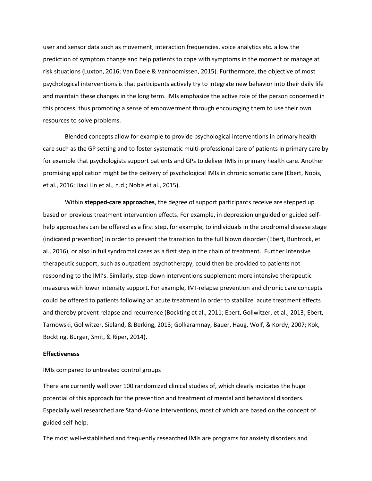user and sensor data such as movement, interaction frequencies, voice analytics etc. allow the prediction of symptom change and help patients to cope with symptoms in the moment or manage at risk situations (Luxton, 2016; Van Daele & Vanhoomissen, 2015). Furthermore, the objective of most psychological interventions is that participants actively try to integrate new behavior into their daily life and maintain these changes in the long term. IMIs emphasize the active role of the person concerned in this process, thus promoting a sense of empowerment through encouraging them to use their own resources to solve problems.

Blended concepts allow for example to provide psychological interventions in primary health care such as the GP setting and to foster systematic multi-professional care of patients in primary care by for example that psychologists support patients and GPs to deliver IMIs in primary health care. Another promising application might be the delivery of psychological IMIs in chronic somatic care (Ebert, Nobis, et al., 2016; Jiaxi Lin et al., n.d.; Nobis et al., 2015).

Within **stepped-care approaches**, the degree of support participants receive are stepped up based on previous treatment intervention effects. For example, in depression unguided or guided selfhelp approaches can be offered as a first step, for example, to individuals in the prodromal disease stage (indicated prevention) in order to prevent the transition to the full blown disorder (Ebert, Buntrock, et al., 2016), or also in full syndromal cases as a first step in the chain of treatment. Further intensive therapeutic support, such as outpatient psychotherapy, could then be provided to patients not responding to the IMI's. Similarly, step-down interventions supplement more intensive therapeutic measures with lower intensity support. For example, IMI-relapse prevention and chronic care concepts could be offered to patients following an acute treatment in order to stabilize acute treatment effects and thereby prevent relapse and recurrence (Bockting et al., 2011; Ebert, Gollwitzer, et al., 2013; Ebert, Tarnowski, Gollwitzer, Sieland, & Berking, 2013; Golkaramnay, Bauer, Haug, Wolf, & Kordy, 2007; Kok, Bockting, Burger, Smit, & Riper, 2014).

# **Effectiveness**

# IMIs compared to untreated control groups

There are currently well over 100 randomized clinical studies of, which clearly indicates the huge potential of this approach for the prevention and treatment of mental and behavioral disorders. Especially well researched are Stand-Alone interventions, most of which are based on the concept of guided self-help.

The most well-established and frequently researched IMIs are programs for anxiety disorders and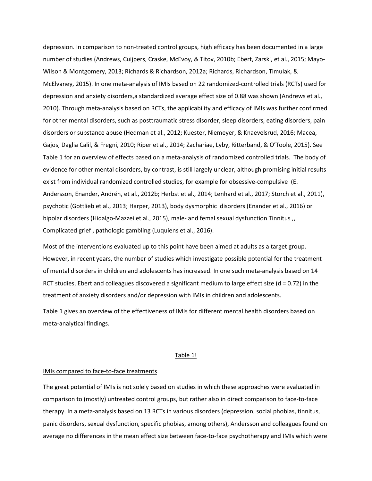depression. In comparison to non-treated control groups, high efficacy has been documented in a large number of studies (Andrews, Cuijpers, Craske, McEvoy, & Titov, 2010b; Ebert, Zarski, et al., 2015; Mayo-Wilson & Montgomery, 2013; Richards & Richardson, 2012a; Richards, Richardson, Timulak, & McElvaney, 2015). In one meta-analysis of IMIs based on 22 randomized-controlled trials (RCTs) used for depression and anxiety disorders,a standardized average effect size of 0.88 was shown (Andrews et al., 2010). Through meta-analysis based on RCTs, the applicability and efficacy of IMIs was further confirmed for other mental disorders, such as posttraumatic stress disorder, sleep disorders, eating disorders, pain disorders or substance abuse (Hedman et al., 2012; Kuester, Niemeyer, & Knaevelsrud, 2016; Macea, Gajos, Daglia Calil, & Fregni, 2010; Riper et al., 2014; Zachariae, Lyby, Ritterband, & O'Toole, 2015). See Table 1 for an overview of effects based on a meta-analysis of randomized controlled trials. The body of evidence for other mental disorders, by contrast, is still largely unclear, although promising initial results exist from individual randomized controlled studies, for example for obsessive-compulsive (E. Andersson, Enander, Andrén, et al., 2012b; Herbst et al., 2014; Lenhard et al., 2017; Storch et al., 2011), psychotic (Gottlieb et al., 2013; Harper, 2013), body dysmorphic disorders (Enander et al., 2016) or bipolar disorders (Hidalgo-Mazzei et al., 2015), male- and femal sexual dysfunction Tinnitus ,, Complicated grief , pathologic gambling (Luquiens et al., 2016).

Most of the interventions evaluated up to this point have been aimed at adults as a target group. However, in recent years, the number of studies which investigate possible potential for the treatment of mental disorders in children and adolescents has increased. In one such meta-analysis based on 14 RCT studies, Ebert and colleagues discovered a significant medium to large effect size ( $d = 0.72$ ) in the treatment of anxiety disorders and/or depression with IMIs in children and adolescents.

Table 1 gives an overview of the effectiveness of IMIs for different mental health disorders based on meta-analytical findings.

#### Table 1!

#### IMIs compared to face-to-face treatments

The great potential of IMIs is not solely based on studies in which these approaches were evaluated in comparison to (mostly) untreated control groups, but rather also in direct comparison to face-to-face therapy. In a meta-analysis based on 13 RCTs in various disorders (depression, social phobias, tinnitus, panic disorders, sexual dysfunction, specific phobias, among others), Andersson and colleagues found on average no differences in the mean effect size between face-to-face psychotherapy and IMIs which were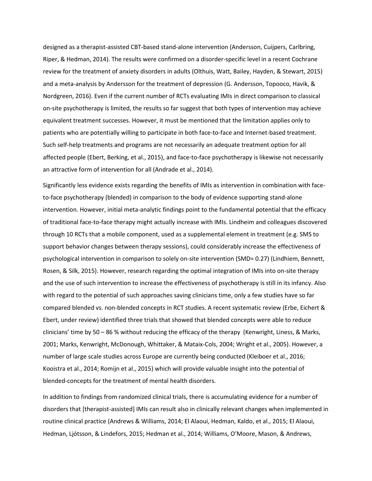designed as a therapist-assisted CBT-based stand-alone intervention (Andersson, Cuijpers, Carlbring, Riper, & Hedman, 2014). The results were confirmed on a disorder-specific level in a recent Cochrane review for the treatment of anxiety disorders in adults (Olthuis, Watt, Bailey, Hayden, & Stewart, 2015) and a meta-analysis by Andersson for the treatment of depression (G. Andersson, Topooco, Havik, & Nordgreen, 2016). Even if the current number of RCTs evaluating IMIs in direct comparison to classical on-site psychotherapy is limited, the results so far suggest that both types of intervention may achieve equivalent treatment successes. However, it must be mentioned that the limitation applies only to patients who are potentially willing to participate in both face-to-face and Internet-based treatment. Such self-help treatments and programs are not necessarily an adequate treatment option for all affected people (Ebert, Berking, et al., 2015), and face-to-face psychotherapy is likewise not necessarily an attractive form of intervention for all (Andrade et al., 2014).

Significantly less evidence exists regarding the benefits of IMIs as intervention in combination with faceto-face psychotherapy (blended) in comparison to the body of evidence supporting stand-alone intervention. However, initial meta-analytic findings point to the fundamental potential that the efficacy of traditional face-to-face therapy might actually increase with IMIs. Lindheim and colleagues discovered through 10 RCTs that a mobile component, used as a supplemental element in treatment (e.g. SMS to support behavior changes between therapy sessions), could considerably increase the effectiveness of psychological intervention in comparison to solely on-site intervention (SMD= 0.27) (Lindhiem, Bennett, Rosen, & Silk, 2015). However, research regarding the optimal integration of IMIs into on-site therapy and the use of such intervention to increase the effectiveness of psychotherapy is still in its infancy. Also with regard to the potential of such approaches saving clinicians time, only a few studies have so far compared blended vs. non-blended concepts in RCT studies. A recent systematic review (Erbe, Eichert & Ebert, under review) identified three trials that showed that blended concepts were able to reduce clinicians' time by 50 – 86 % without reducing the efficacy of the therapy (Kenwright, Liness, & Marks, 2001; Marks, Kenwright, McDonough, Whittaker, & Mataix-Cols, 2004; Wright et al., 2005). However, a number of large scale studies across Europe are currently being conducted (Kleiboer et al., 2016; Kooistra et al., 2014; Romijn et al., 2015) which will provide valuable insight into the potential of blended-concepts for the treatment of mental health disorders.

In addition to findings from randomized clinical trials, there is accumulating evidence for a number of disorders that [therapist-assisted] IMIs can result also in clinically relevant changes when implemented in routine clinical practice (Andrews & Williams, 2014; El Alaoui, Hedman, Kaldo, et al., 2015; El Alaoui, Hedman, Ljótsson, & Lindefors, 2015; Hedman et al., 2014; Williams, O'Moore, Mason, & Andrews,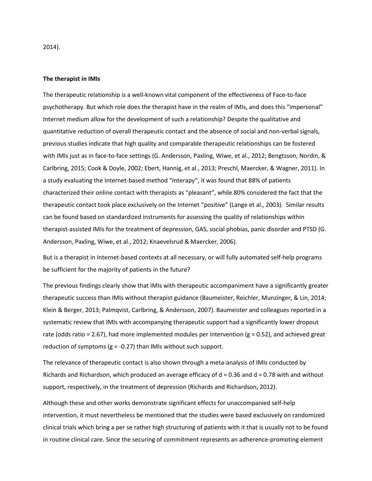2014).

#### **The therapist in IMIs**

The therapeutic relationship is a well-known vital component of the effectiveness of Face-to-face psychotherapy. But which role does the therapist have in the realm of IMIs, and does this "impersonal" Internet medium allow for the development of such a relationship? Despite the qualitative and quantitative reduction of overall therapeutic contact and the absence of social and non-verbal signals, previous studies indicate that high quality and comparable therapeutic relationships can be fostered with IMIs just as in face-to-face settings (G. Andersson, Paxling, Wiwe, et al., 2012; Bengtsson, Nordin, & Carlbring, 2015; Cook & Doyle, 2002; Ebert, Hannig, et al., 2013; Preschl, Maercker, & Wagner, 2011). In a study evaluating the Internet-based method "Interapy", it was found that 88% of patients characterized their online contact with therapists as "pleasant", while 80% considered the fact that the therapeutic contact took place exclusively on the Internet "positive" (Lange et al., 2003). Similar results can be found based on standardized instruments for assessing the quality of relationships within therapist-assisted IMIs for the treatment of depression, GAS, social phobias, panic disorder and PTSD (G. Andersson, Paxling, Wiwe, et al., 2012; Knaevelsrud & Maercker, 2006).

But is a therapist in Internet-based contexts at all necessary, or will fully automated self-help programs be sufficient for the majority of patients in the future?

The previous findings clearly show that IMIs with therapeutic accompaniment have a significantly greater therapeutic success than IMIs without therapist guidance (Baumeister, Reichler, Munzinger, & Lin, 2014; Klein & Berger, 2013; Palmqvist, Carlbring, & Andersson, 2007). Baumeister and colleagues reported in a systematic review that IMIs with accompanying therapeutic support had a significantly lower dropout rate (odds ratio = 2.67), had more implemented modules per intervention ( $g = 0.52$ ), and achieved great reduction of symptoms ( $g = -0.27$ ) than IMIs without such support.

The relevance of therapeutic contact is also shown through a meta-analysis of IMIs conducted by Richards and Richardson, which produced an average efficacy of  $d = 0.36$  and  $d = 0.78$  with and without support, respectively, in the treatment of depression (Richards and Richardson, 2012).

Although these and other works demonstrate significant effects for unaccompanied self-help intervention, it must nevertheless be mentioned that the studies were based exclusively on randomized clinical trials which bring a per se rather high structuring of patients with it that is usually not to be found in routine clinical care. Since the securing of commitment represents an adherence-promoting element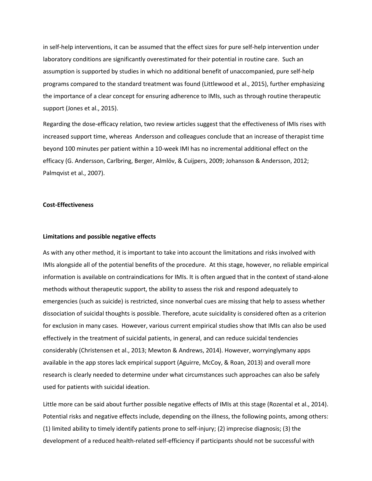in self-help interventions, it can be assumed that the effect sizes for pure self-help intervention under laboratory conditions are significantly overestimated for their potential in routine care. Such an assumption is supported by studies in which no additional benefit of unaccompanied, pure self-help programs compared to the standard treatment was found (Littlewood et al., 2015), further emphasizing the importance of a clear concept for ensuring adherence to IMIs, such as through routine therapeutic support (Jones et al., 2015).

Regarding the dose-efficacy relation, two review articles suggest that the effectiveness of IMIs rises with increased support time, whereas Andersson and colleagues conclude that an increase of therapist time beyond 100 minutes per patient within a 10-week IMI has no incremental additional effect on the efficacy (G. Andersson, Carlbring, Berger, Almlöv, & Cuijpers, 2009; Johansson & Andersson, 2012; Palmqvist et al., 2007).

#### **Cost-Effectiveness**

# **Limitations and possible negative effects**

As with any other method, it is important to take into account the limitations and risks involved with IMIs alongside all of the potential benefits of the procedure. At this stage, however, no reliable empirical information is available on contraindications for IMIs. It is often argued that in the context of stand-alone methods without therapeutic support, the ability to assess the risk and respond adequately to emergencies (such as suicide) is restricted, since nonverbal cues are missing that help to assess whether dissociation of suicidal thoughts is possible. Therefore, acute suicidality is considered often as a criterion for exclusion in many cases. However, various current empirical studies show that IMIs can also be used effectively in the treatment of suicidal patients, in general, and can reduce suicidal tendencies considerably (Christensen et al., 2013; Mewton & Andrews, 2014). However, worryinglymany apps available in the app stores lack empirical support (Aguirre, McCoy, & Roan, 2013) and overall more research is clearly needed to determine under what circumstances such approaches can also be safely used for patients with suicidal ideation.

Little more can be said about further possible negative effects of IMIs at this stage (Rozental et al., 2014). Potential risks and negative effects include, depending on the illness, the following points, among others: (1) limited ability to timely identify patients prone to self-injury; (2) imprecise diagnosis; (3) the development of a reduced health-related self-efficiency if participants should not be successful with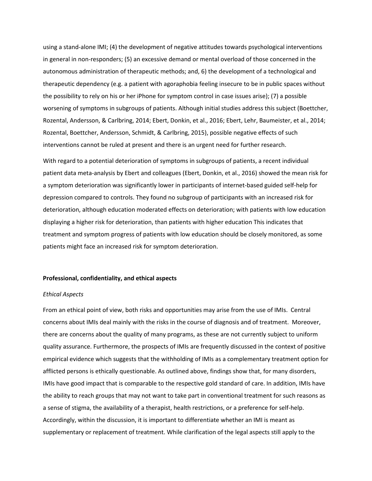using a stand-alone IMI; (4) the development of negative attitudes towards psychological interventions in general in non-responders; (5) an excessive demand or mental overload of those concerned in the autonomous administration of therapeutic methods; and, 6) the development of a technological and therapeutic dependency (e.g. a patient with agoraphobia feeling insecure to be in public spaces without the possibility to rely on his or her iPhone for symptom control in case issues arise); (7) a possible worsening of symptoms in subgroups of patients. Although initial studies address this subject (Boettcher, Rozental, Andersson, & Carlbring, 2014; Ebert, Donkin, et al., 2016; Ebert, Lehr, Baumeister, et al., 2014; Rozental, Boettcher, Andersson, Schmidt, & Carlbring, 2015), possible negative effects of such interventions cannot be ruled at present and there is an urgent need for further research.

With regard to a potential deterioration of symptoms in subgroups of patients, a recent individual patient data meta-analysis by Ebert and colleagues (Ebert, Donkin, et al., 2016) showed the mean risk for a symptom deterioration was significantly lower in participants of internet-based guided self-help for depression compared to controls. They found no subgroup of participants with an increased risk for deterioration, although education moderated effects on deterioration; with patients with low education displaying a higher risk for deterioration, than patients with higher education This indicates that treatment and symptom progress of patients with low education should be closely monitored, as some patients might face an increased risk for symptom deterioration.

#### **Professional, confidentiality, and ethical aspects**

### *Ethical Aspects*

From an ethical point of view, both risks and opportunities may arise from the use of IMIs. Central concerns about IMIs deal mainly with the risks in the course of diagnosis and of treatment. Moreover, there are concerns about the quality of many programs, as these are not currently subject to uniform quality assurance. Furthermore, the prospects of IMIs are frequently discussed in the context of positive empirical evidence which suggests that the withholding of IMIs as a complementary treatment option for afflicted persons is ethically questionable. As outlined above, findings show that, for many disorders, IMIs have good impact that is comparable to the respective gold standard of care. In addition, IMIs have the ability to reach groups that may not want to take part in conventional treatment for such reasons as a sense of stigma, the availability of a therapist, health restrictions, or a preference for self-help. Accordingly, within the discussion, it is important to differentiate whether an IMI is meant as supplementary or replacement of treatment. While clarification of the legal aspects still apply to the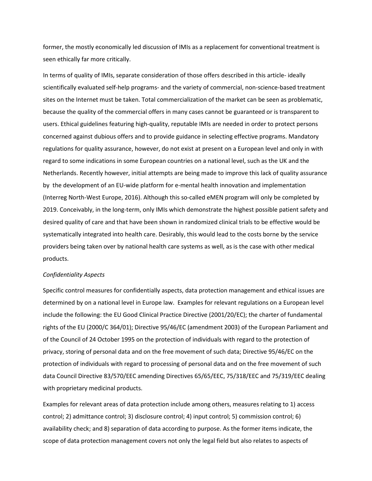former, the mostly economically led discussion of IMIs as a replacement for conventional treatment is seen ethically far more critically.

In terms of quality of IMIs, separate consideration of those offers described in this article- ideally scientifically evaluated self-help programs- and the variety of commercial, non-science-based treatment sites on the Internet must be taken. Total commercialization of the market can be seen as problematic, because the quality of the commercial offers in many cases cannot be guaranteed or is transparent to users. Ethical guidelines featuring high-quality, reputable IMIs are needed in order to protect persons concerned against dubious offers and to provide guidance in selecting effective programs. Mandatory regulations for quality assurance, however, do not exist at present on a European level and only in with regard to some indications in some European countries on a national level, such as the UK and the Netherlands. Recently however, initial attempts are being made to improve this lack of quality assurance by the development of an EU-wide platform for e-mental health innovation and implementation (Interreg North-West Europe, 2016). Although this so-called eMEN program will only be completed by 2019. Conceivably, in the long-term, only IMIs which demonstrate the highest possible patient safety and desired quality of care and that have been shown in randomized clinical trials to be effective would be systematically integrated into health care. Desirably, this would lead to the costs borne by the service providers being taken over by national health care systems as well, as is the case with other medical products.

# *Confidentiality Aspects*

Specific control measures for confidentially aspects, data protection management and ethical issues are determined by on a national level in Europe law. Examples for relevant regulations on a European level include the following: the EU Good Clinical Practice Directive (2001/20/EC); the charter of fundamental rights of the EU (2000/C 364/01); Directive 95/46/EC (amendment 2003) of the European Parliament and of the Council of 24 October 1995 on the protection of individuals with regard to the protection of privacy, storing of personal data and on the free movement of such data; Directive 95/46/EC on the protection of individuals with regard to processing of personal data and on the free movement of such data Council Directive 83/570/EEC amending Directives 65/65/EEC, 75/318/EEC and 75/319/EEC dealing with proprietary medicinal products.

Examples for relevant areas of data protection include among others, measures relating to 1) access control; 2) admittance control; 3) disclosure control; 4) input control; 5) commission control; 6) availability check; and 8) separation of data according to purpose. As the former items indicate, the scope of data protection management covers not only the legal field but also relates to aspects of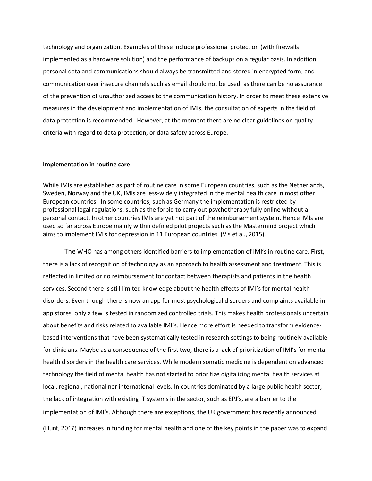technology and organization. Examples of these include professional protection (with firewalls implemented as a hardware solution) and the performance of backups on a regular basis. In addition, personal data and communications should always be transmitted and stored in encrypted form; and communication over insecure channels such as email should not be used, as there can be no assurance of the prevention of unauthorized access to the communication history. In order to meet these extensive measures in the development and implementation of IMIs, the consultation of experts in the field of data protection is recommended. However, at the moment there are no clear guidelines on quality criteria with regard to data protection, or data safety across Europe.

# **Implementation in routine care**

While IMIs are established as part of routine care in some European countries, such as the Netherlands, Sweden, Norway and the UK, IMIs are less-widely integrated in the mental health care in most other European countries. In some countries, such as Germany the implementation is restricted by professional legal regulations, such as the forbid to carry out psychotherapy fully online without a personal contact. In other countries IMIs are yet not part of the reimbursement system. Hence IMIs are used so far across Europe mainly within defined pilot projects such as the Mastermind project which aims to implement IMIs for depression in 11 European countries (Vis et al., 2015).

The WHO has among others identified barriers to implementation of IMI's in routine care. First, there is a lack of recognition of technology as an approach to health assessment and treatment. This is reflected in limited or no reimbursement for contact between therapists and patients in the health services. Second there is still limited knowledge about the health effects of IMI's for mental health disorders. Even though there is now an app for most psychological disorders and complaints available in app stores, only a few is tested in randomized controlled trials. This makes health professionals uncertain about benefits and risks related to available IMI's. Hence more effort is needed to transform evidencebased interventions that have been systematically tested in research settings to being routinely available for clinicians. Maybe as a consequence of the first two, there is a lack of prioritization of IMI's for mental health disorders in the health care services. While modern somatic medicine is dependent on advanced technology the field of mental health has not started to prioritize digitalizing mental health services at local, regional, national nor international levels. In countries dominated by a large public health sector, the lack of integration with existing IT systems in the sector, such as EPJ's, are a barrier to the implementation of IMI's. Although there are exceptions, the UK government has recently announced (Hunt, 2017) increases in funding for mental health and one of the key points in the paper was to expand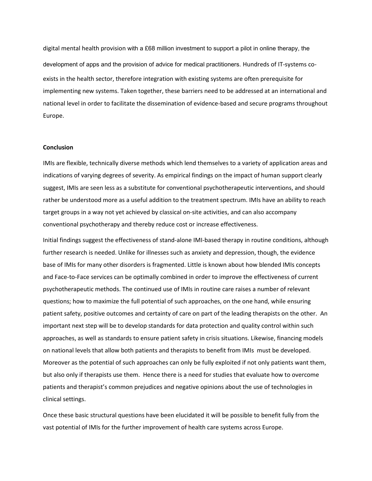digital mental health provision with a £68 million investment to support a pilot in online therapy, the development of apps and the provision of advice for medical practitioners. Hundreds of IT-systems coexists in the health sector, therefore integration with existing systems are often prerequisite for implementing new systems. Taken together, these barriers need to be addressed at an international and national level in order to facilitate the dissemination of evidence-based and secure programs throughout Europe.

# **Conclusion**

IMIs are flexible, technically diverse methods which lend themselves to a variety of application areas and indications of varying degrees of severity. As empirical findings on the impact of human support clearly suggest, IMIs are seen less as a substitute for conventional psychotherapeutic interventions, and should rather be understood more as a useful addition to the treatment spectrum. IMIs have an ability to reach target groups in a way not yet achieved by classical on-site activities, and can also accompany conventional psychotherapy and thereby reduce cost or increase effectiveness.

Initial findings suggest the effectiveness of stand-alone IMI-based therapy in routine conditions, although further research is needed. Unlike for illnesses such as anxiety and depression, though, the evidence base of IMIs for many other disorders is fragmented. Little is known about how blended IMIs concepts and Face-to-Face services can be optimally combined in order to improve the effectiveness of current psychotherapeutic methods. The continued use of IMIs in routine care raises a number of relevant questions; how to maximize the full potential of such approaches, on the one hand, while ensuring patient safety, positive outcomes and certainty of care on part of the leading therapists on the other. An important next step will be to develop standards for data protection and quality control within such approaches, as well as standards to ensure patient safety in crisis situations. Likewise, financing models on national levels that allow both patients and therapists to benefit from IMIs must be developed. Moreover as the potential of such approaches can only be fully exploited if not only patients want them, but also only if therapists use them. Hence there is a need for studies that evaluate how to overcome patients and therapist's common prejudices and negative opinions about the use of technologies in clinical settings.

Once these basic structural questions have been elucidated it will be possible to benefit fully from the vast potential of IMIs for the further improvement of health care systems across Europe.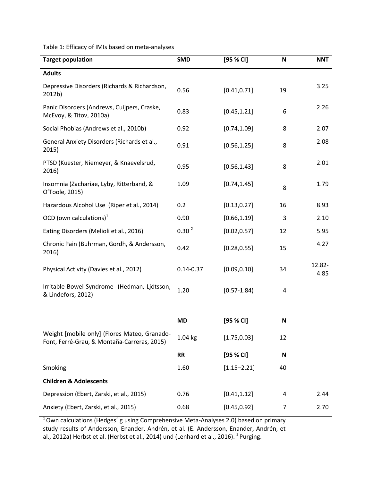Table 1: Efficacy of IMIs based on meta-analyses

| <b>Target population</b>                                                                    | <b>SMD</b>        | [95 % CI]       | N              | <b>NNT</b>     |
|---------------------------------------------------------------------------------------------|-------------------|-----------------|----------------|----------------|
| <b>Adults</b>                                                                               |                   |                 |                |                |
| Depressive Disorders (Richards & Richardson,<br>2012b)                                      | 0.56              | [0.41, 0.71]    | 19             | 3.25           |
| Panic Disorders (Andrews, Cuijpers, Craske,<br>McEvoy, & Titov, 2010a)                      | 0.83              | [0.45, 1.21]    | 6              | 2.26           |
| Social Phobias (Andrews et al., 2010b)                                                      | 0.92              | [0.74, 1.09]    | 8              | 2.07           |
| General Anxiety Disorders (Richards et al.,<br>2015)                                        | 0.91              | [0.56, 1.25]    | 8              | 2.08           |
| PTSD (Kuester, Niemeyer, & Knaevelsrud,<br>2016)                                            | 0.95              | [0.56, 1.43]    | 8              | 2.01           |
| Insomnia (Zachariae, Lyby, Ritterband, &<br>O'Toole, 2015)                                  | 1.09              | [0.74, 1.45]    | 8              | 1.79           |
| Hazardous Alcohol Use (Riper et al., 2014)                                                  | 0.2               | [0.13, 0.27]    | 16             | 8.93           |
| OCD (own calculations) $1$                                                                  | 0.90              | [0.66, 1.19]    | 3              | 2.10           |
| Eating Disorders (Melioli et al., 2016)                                                     | 0.30 <sup>2</sup> | [0.02, 0.57]    | 12             | 5.95           |
| Chronic Pain (Buhrman, Gordh, & Andersson,<br>2016)                                         | 0.42              | [0.28, 0.55]    | 15             | 4.27           |
| Physical Activity (Davies et al., 2012)                                                     | $0.14 - 0.37$     | [0.09, 0.10]    | 34             | 12.82-<br>4.85 |
| Irritable Bowel Syndrome (Hedman, Ljótsson,<br>& Lindefors, 2012)                           | 1.20              | $[0.57 - 1.84]$ | 4              |                |
|                                                                                             | <b>MD</b>         | [95 % CI]       | N              |                |
| Weight [mobile only] (Flores Mateo, Granado-<br>Font, Ferré-Grau, & Montaña-Carreras, 2015) | $1.04$ kg         | [1.75, 0.03]    | 12             |                |
|                                                                                             | <b>RR</b>         | [95 % CI]       | N              |                |
| Smoking                                                                                     | 1.60              | $[1.15 - 2.21]$ | 40             |                |
| <b>Children &amp; Adolescents</b>                                                           |                   |                 |                |                |
| Depression (Ebert, Zarski, et al., 2015)                                                    | 0.76              | [0.41, 1.12]    | 4              | 2.44           |
| Anxiety (Ebert, Zarski, et al., 2015)                                                       | 0.68              | [0.45, 0.92]    | $\overline{7}$ | 2.70           |

 $10$ wn calculations (Hedges' g using Comprehensive Meta-Analyses 2.0) based on primary study results of Andersson, Enander, Andrén, et al. (E. Andersson, Enander, Andrén, et al., 2012a) Herbst et al. (Herbst et al., 2014) und (Lenhard et al., 2016). <sup>2</sup> Purging.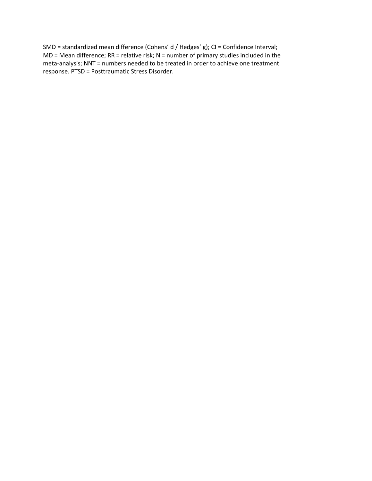SMD = standardized mean difference (Cohens' d / Hedges' g); CI = Confidence Interval;  $MD = Mean$  difference; RR = relative risk; N = number of primary studies included in the meta-analysis; NNT = numbers needed to be treated in order to achieve one treatment response. PTSD = Posttraumatic Stress Disorder.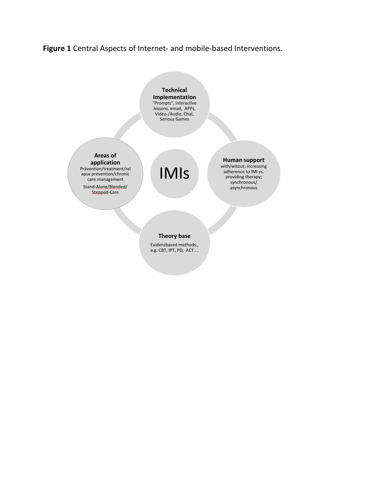# **Figure 1** Central Aspects of Internet- and mobile-based Interventions.

**Technical Implementation**  "Prompts", interactive lessons, email, APPs, Video-/Audio, Chat, Serious Games

# **Areas of application**

Prävention/treatment/rel apse prevention/chronic care management

Stand-Alone/Blended/ Stepped-Care

IMIs

#### **Human support**  with/witout; increasing

adherence to IMI vs. providing therapy; synchronous/ asynchronous

# **Theory base**

Evidenzbased methods:, e.g. CBT, IPT, PD, ACT....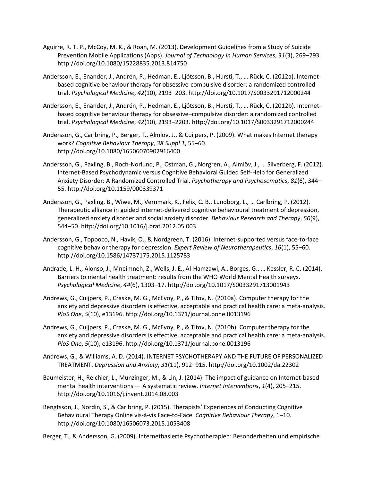- Aguirre, R. T. P., McCoy, M. K., & Roan, M. (2013). Development Guidelines from a Study of Suicide Prevention Mobile Applications (Apps). *Journal of Technology in Human Services*, *31*(3), 269–293. http://doi.org/10.1080/15228835.2013.814750
- Andersson, E., Enander, J., Andrén, P., Hedman, E., Ljótsson, B., Hursti, T., … Rück, C. (2012a). Internetbased cognitive behaviour therapy for obsessive-compulsive disorder: a randomized controlled trial. *Psychological Medicine*, *42*(10), 2193–203. http://doi.org/10.1017/S0033291712000244
- Andersson, E., Enander, J., Andrén, P., Hedman, E., Ljótsson, B., Hursti, T., … Rück, C. (2012b). Internetbased cognitive behaviour therapy for obsessive–compulsive disorder: a randomized controlled trial. *Psychological Medicine*, *42*(10), 2193–2203. http://doi.org/10.1017/S0033291712000244
- Andersson, G., Carlbring, P., Berger, T., Almlöv, J., & Cuijpers, P. (2009). What makes Internet therapy work? *Cognitive Behaviour Therapy*, *38 Suppl 1*, 55–60. http://doi.org/10.1080/16506070902916400
- Andersson, G., Paxling, B., Roch-Norlund, P., Ostman, G., Norgren, A., Almlöv, J., … Silverberg, F. (2012). Internet-Based Psychodynamic versus Cognitive Behavioral Guided Self-Help for Generalized Anxiety Disorder: A Randomized Controlled Trial. *Psychotherapy and Psychosomatics*, *81*(6), 344– 55. http://doi.org/10.1159/000339371
- Andersson, G., Paxling, B., Wiwe, M., Vernmark, K., Felix, C. B., Lundborg, L., … Carlbring, P. (2012). Therapeutic alliance in guided internet-delivered cognitive behavioural treatment of depression, generalized anxiety disorder and social anxiety disorder. *Behaviour Research and Therapy*, *50*(9), 544–50. http://doi.org/10.1016/j.brat.2012.05.003
- Andersson, G., Topooco, N., Havik, O., & Nordgreen, T. (2016). Internet-supported versus face-to-face cognitive behavior therapy for depression. *Expert Review of Neurotherapeutics*, *16*(1), 55–60. http://doi.org/10.1586/14737175.2015.1125783
- Andrade, L. H., Alonso, J., Mneimneh, Z., Wells, J. E., Al-Hamzawi, A., Borges, G., … Kessler, R. C. (2014). Barriers to mental health treatment: results from the WHO World Mental Health surveys. *Psychological Medicine*, *44*(6), 1303–17. http://doi.org/10.1017/S0033291713001943
- Andrews, G., Cuijpers, P., Craske, M. G., McEvoy, P., & Titov, N. (2010a). Computer therapy for the anxiety and depressive disorders is effective, acceptable and practical health care: a meta-analysis. *PloS One*, *5*(10), e13196. http://doi.org/10.1371/journal.pone.0013196
- Andrews, G., Cuijpers, P., Craske, M. G., McEvoy, P., & Titov, N. (2010b). Computer therapy for the anxiety and depressive disorders is effective, acceptable and practical health care: a meta-analysis. *PloS One*, *5*(10), e13196. http://doi.org/10.1371/journal.pone.0013196
- Andrews, G., & Williams, A. D. (2014). INTERNET PSYCHOTHERAPY AND THE FUTURE OF PERSONALIZED TREATMENT. *Depression and Anxiety*, *31*(11), 912–915. http://doi.org/10.1002/da.22302
- Baumeister, H., Reichler, L., Munzinger, M., & Lin, J. (2014). The impact of guidance on Internet-based mental health interventions — A systematic review. *Internet Interventions*, *1*(4), 205–215. http://doi.org/10.1016/j.invent.2014.08.003
- Bengtsson, J., Nordin, S., & Carlbring, P. (2015). Therapists' Experiences of Conducting Cognitive Behavioural Therapy Online vis-à-vis Face-to-Face. *Cognitive Behaviour Therapy*, 1–10. http://doi.org/10.1080/16506073.2015.1053408

Berger, T., & Andersson, G. (2009). Internetbasierte Psychotherapien: Besonderheiten und empirische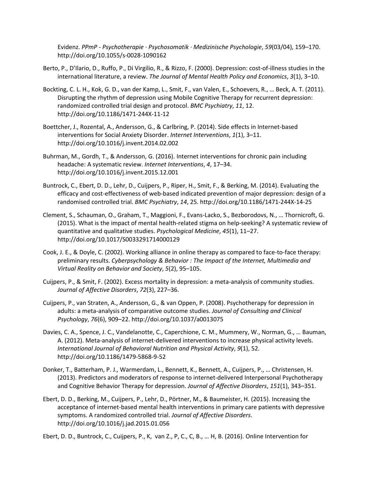Evidenz. *PPmP - Psychotherapie · Psychosomatik · Medizinische Psychologie*, *59*(03/04), 159–170. http://doi.org/10.1055/s-0028-1090162

- Berto, P., D'Ilario, D., Ruffo, P., Di Virgilio, R., & Rizzo, F. (2000). Depression: cost-of-illness studies in the international literature, a review. *The Journal of Mental Health Policy and Economics*, *3*(1), 3–10.
- Bockting, C. L. H., Kok, G. D., van der Kamp, L., Smit, F., van Valen, E., Schoevers, R., … Beck, A. T. (2011). Disrupting the rhythm of depression using Mobile Cognitive Therapy for recurrent depression: randomized controlled trial design and protocol. *BMC Psychiatry*, *11*, 12. http://doi.org/10.1186/1471-244X-11-12
- Boettcher, J., Rozental, A., Andersson, G., & Carlbring, P. (2014). Side effects in Internet-based interventions for Social Anxiety Disorder. *Internet Interventions*, *1*(1), 3–11. http://doi.org/10.1016/j.invent.2014.02.002
- Buhrman, M., Gordh, T., & Andersson, G. (2016). Internet interventions for chronic pain including headache: A systematic review. *Internet Interventions*, *4*, 17–34. http://doi.org/10.1016/j.invent.2015.12.001
- Buntrock, C., Ebert, D. D., Lehr, D., Cuijpers, P., Riper, H., Smit, F., & Berking, M. (2014). Evaluating the efficacy and cost-effectiveness of web-based indicated prevention of major depression: design of a randomised controlled trial. *BMC Psychiatry*, *14*, 25. http://doi.org/10.1186/1471-244X-14-25
- Clement, S., Schauman, O., Graham, T., Maggioni, F., Evans-Lacko, S., Bezborodovs, N., … Thornicroft, G. (2015). What is the impact of mental health-related stigma on help-seeking? A systematic review of quantitative and qualitative studies. *Psychological Medicine*, *45*(1), 11–27. http://doi.org/10.1017/S0033291714000129
- Cook, J. E., & Doyle, C. (2002). Working alliance in online therapy as compared to face-to-face therapy: preliminary results. *Cyberpsychology & Behavior : The Impact of the Internet, Multimedia and Virtual Reality on Behavior and Society*, *5*(2), 95–105.
- Cuijpers, P., & Smit, F. (2002). Excess mortality in depression: a meta-analysis of community studies. *Journal of Affective Disorders*, *72*(3), 227–36.
- Cuijpers, P., van Straten, A., Andersson, G., & van Oppen, P. (2008). Psychotherapy for depression in adults: a meta-analysis of comparative outcome studies. *Journal of Consulting and Clinical Psychology*, *76*(6), 909–22. http://doi.org/10.1037/a0013075
- Davies, C. A., Spence, J. C., Vandelanotte, C., Caperchione, C. M., Mummery, W., Norman, G., … Bauman, A. (2012). Meta-analysis of internet-delivered interventions to increase physical activity levels. *International Journal of Behavioral Nutrition and Physical Activity*, *9*(1), 52. http://doi.org/10.1186/1479-5868-9-52
- Donker, T., Batterham, P. J., Warmerdam, L., Bennett, K., Bennett, A., Cuijpers, P., … Christensen, H. (2013). Predictors and moderators of response to internet-delivered Interpersonal Psychotherapy and Cognitive Behavior Therapy for depression. *Journal of Affective Disorders*, *151*(1), 343–351.
- Ebert, D. D., Berking, M., Cuijpers, P., Lehr, D., Pörtner, M., & Baumeister, H. (2015). Increasing the acceptance of internet-based mental health interventions in primary care patients with depressive symptoms. A randomized controlled trial. *Journal of Affective Disorders*. http://doi.org/10.1016/j.jad.2015.01.056

Ebert, D. D., Buntrock, C., Cuijpers, P., K, van Z., P, C., C, B., … H, B. (2016). Online Intervention for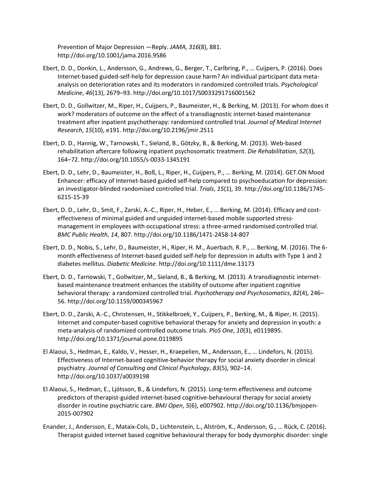Prevention of Major Depression —Reply. *JAMA*, *316*(8), 881. http://doi.org/10.1001/jama.2016.9586

- Ebert, D. D., Donkin, L., Andersson, G., Andrews, G., Berger, T., Carlbring, P., … Cuijpers, P. (2016). Does Internet-based guided-self-help for depression cause harm? An individual participant data metaanalysis on deterioration rates and its moderators in randomized controlled trials. *Psychological Medicine*, *46*(13), 2679–93. http://doi.org/10.1017/S0033291716001562
- Ebert, D. D., Gollwitzer, M., Riper, H., Cuijpers, P., Baumeister, H., & Berking, M. (2013). For whom does it work? moderators of outcome on the effect of a transdiagnostic internet-based maintenance treatment after inpatient psychotherapy: randomized controlled trial. *Journal of Medical Internet Research*, *15*(10), e191. http://doi.org/10.2196/jmir.2511
- Ebert, D. D., Hannig, W., Tarnowski, T., Sieland, B., Götzky, B., & Berking, M. (2013). Web-based rehabilitation aftercare following inpatient psychosomatic treatment. *Die Rehabilitation*, *52*(3), 164–72. http://doi.org/10.1055/s-0033-1345191
- Ebert, D. D., Lehr, D., Baumeister, H., Boß, L., Riper, H., Cuijpers, P., … Berking, M. (2014). GET.ON Mood Enhancer: efficacy of Internet-based guided self-help compared to psychoeducation for depression: an investigator-blinded randomised controlled trial. *Trials*, *15*(1), 39. http://doi.org/10.1186/1745- 6215-15-39
- Ebert, D. D., Lehr, D., Smit, F., Zarski, A.-C., Riper, H., Heber, E., … Berking, M. (2014). Efficacy and costeffectiveness of minimal guided and unguided internet-based mobile supported stressmanagement in employees with occupational stress: a three-armed randomised controlled trial. *BMC Public Health*, *14*, 807. http://doi.org/10.1186/1471-2458-14-807
- Ebert, D. D., Nobis, S., Lehr, D., Baumeister, H., Riper, H. M., Auerbach, R. P., … Berking, M. (2016). The 6 month effectiveness of Internet-based guided self-help for depression in adults with Type 1 and 2 diabetes mellitus. *Diabetic Medicine*. http://doi.org/10.1111/dme.13173
- Ebert, D. D., Tarnowski, T., Gollwitzer, M., Sieland, B., & Berking, M. (2013). A transdiagnostic internetbased maintenance treatment enhances the stability of outcome after inpatient cognitive behavioral therapy: a randomized controlled trial. *Psychotherapy and Psychosomatics*, *82*(4), 246– 56. http://doi.org/10.1159/000345967
- Ebert, D. D., Zarski, A.-C., Christensen, H., Stikkelbroek, Y., Cuijpers, P., Berking, M., & Riper, H. (2015). Internet and computer-based cognitive behavioral therapy for anxiety and depression in youth: a meta-analysis of randomized controlled outcome trials. *PloS One*, *10*(3), e0119895. http://doi.org/10.1371/journal.pone.0119895
- El Alaoui, S., Hedman, E., Kaldo, V., Hesser, H., Kraepelien, M., Andersson, E., … Lindefors, N. (2015). Effectiveness of Internet-based cognitive-behavior therapy for social anxiety disorder in clinical psychiatry. *Journal of Consulting and Clinical Psychology*, *83*(5), 902–14. http://doi.org/10.1037/a0039198
- El Alaoui, S., Hedman, E., Ljótsson, B., & Lindefors, N. (2015). Long-term effectiveness and outcome predictors of therapist-guided internet-based cognitive-behavioural therapy for social anxiety disorder in routine psychiatric care. *BMJ Open*, *5*(6), e007902. http://doi.org/10.1136/bmjopen-2015-007902
- Enander, J., Andersson, E., Mataix-Cols, D., Lichtenstein, L., Alström, K., Andersson, G., … Rück, C. (2016). Therapist guided internet based cognitive behavioural therapy for body dysmorphic disorder: single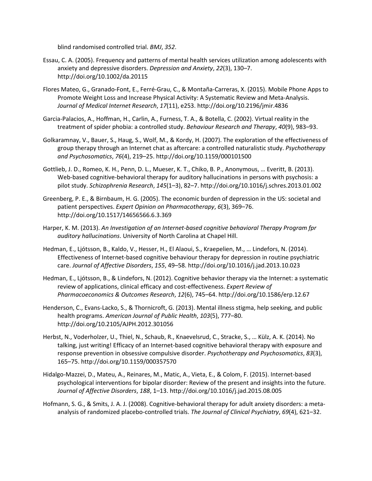blind randomised controlled trial. *BMJ*, *352*.

- Essau, C. A. (2005). Frequency and patterns of mental health services utilization among adolescents with anxiety and depressive disorders. *Depression and Anxiety*, *22*(3), 130–7. http://doi.org/10.1002/da.20115
- Flores Mateo, G., Granado-Font, E., Ferré-Grau, C., & Montaña-Carreras, X. (2015). Mobile Phone Apps to Promote Weight Loss and Increase Physical Activity: A Systematic Review and Meta-Analysis. *Journal of Medical Internet Research*, *17*(11), e253. http://doi.org/10.2196/jmir.4836
- Garcia-Palacios, A., Hoffman, H., Carlin, A., Furness, T. A., & Botella, C. (2002). Virtual reality in the treatment of spider phobia: a controlled study. *Behaviour Research and Therapy*, *40*(9), 983–93.
- Golkaramnay, V., Bauer, S., Haug, S., Wolf, M., & Kordy, H. (2007). The exploration of the effectiveness of group therapy through an Internet chat as aftercare: a controlled naturalistic study. *Psychotherapy and Psychosomatics*, *76*(4), 219–25. http://doi.org/10.1159/000101500
- Gottlieb, J. D., Romeo, K. H., Penn, D. L., Mueser, K. T., Chiko, B. P., Anonymous, … Everitt, B. (2013). Web-based cognitive-behavioral therapy for auditory hallucinations in persons with psychosis: a pilot study. *Schizophrenia Research*, *145*(1–3), 82–7. http://doi.org/10.1016/j.schres.2013.01.002
- Greenberg, P. E., & Birnbaum, H. G. (2005). The economic burden of depression in the US: societal and patient perspectives. *Expert Opinion on Pharmacotherapy*, *6*(3), 369–76. http://doi.org/10.1517/14656566.6.3.369
- Harper, K. M. (2013). *An Investigation of an Internet-based cognitive behavioral Therapy Program fpr auditory hallucinations*. University of North Carolina at Chapel Hill.
- Hedman, E., Ljótsson, B., Kaldo, V., Hesser, H., El Alaoui, S., Kraepelien, M., … Lindefors, N. (2014). Effectiveness of Internet-based cognitive behaviour therapy for depression in routine psychiatric care. *Journal of Affective Disorders*, *155*, 49–58. http://doi.org/10.1016/j.jad.2013.10.023
- Hedman, E., Ljótsson, B., & Lindefors, N. (2012). Cognitive behavior therapy via the Internet: a systematic review of applications, clinical efficacy and cost-effectiveness. *Expert Review of Pharmacoeconomics & Outcomes Research*, *12*(6), 745–64. http://doi.org/10.1586/erp.12.67
- Henderson, C., Evans-Lacko, S., & Thornicroft, G. (2013). Mental illness stigma, help seeking, and public health programs. *American Journal of Public Health*, *103*(5), 777–80. http://doi.org/10.2105/AJPH.2012.301056
- Herbst, N., Voderholzer, U., Thiel, N., Schaub, R., Knaevelsrud, C., Stracke, S., … Külz, A. K. (2014). No talking, just writing! Efficacy of an Internet-based cognitive behavioral therapy with exposure and response prevention in obsessive compulsive disorder. *Psychotherapy and Psychosomatics*, *83*(3), 165–75. http://doi.org/10.1159/000357570
- Hidalgo-Mazzei, D., Mateu, A., Reinares, M., Matic, A., Vieta, E., & Colom, F. (2015). Internet-based psychological interventions for bipolar disorder: Review of the present and insights into the future. *Journal of Affective Disorders*, *188*, 1–13. http://doi.org/10.1016/j.jad.2015.08.005
- Hofmann, S. G., & Smits, J. A. J. (2008). Cognitive-behavioral therapy for adult anxiety disorders: a metaanalysis of randomized placebo-controlled trials. *The Journal of Clinical Psychiatry*, *69*(4), 621–32.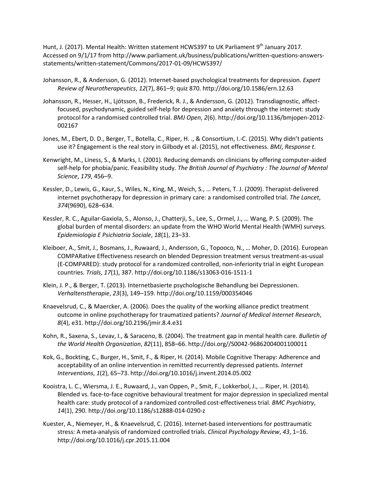Hunt, J. (2017). Mental Health: Written statement HCWS397 to UK Parliament 9<sup>th</sup> January 2017. Accessed on 9/1/17 from [http://www.parliament.uk/business/publications/written-questions-answers](http://www.parliament.uk/business/publications/written-questions-answers-statements/written-statement/Commons/2017-01-09/HCWS397/)[statements/written-statement/Commons/2017-01-09/HCWS397/](http://www.parliament.uk/business/publications/written-questions-answers-statements/written-statement/Commons/2017-01-09/HCWS397/)

- Johansson, R., & Andersson, G. (2012). Internet-based psychological treatments for depression. *Expert Review of Neurotherapeutics*, *12*(7), 861–9; quiz 870. http://doi.org/10.1586/ern.12.63
- Johansson, R., Hesser, H., Ljótsson, B., Frederick, R. J., & Andersson, G. (2012). Transdiagnostic, affectfocused, psychodynamic, guided self-help for depression and anxiety through the internet: study protocol for a randomised controlled trial. *BMJ Open*, *2*(6). http://doi.org/10.1136/bmjopen-2012- 002167
- Jones, M., Ebert, D. D., Berger, T., Botella, C., Riper, H. ., & Consortium, I.-C. (2015). Why didn't patients use it? Engagement is the real story in Gilbody et al. (2015), not effectiveness. *BMJ*, *Response t*.
- Kenwright, M., Liness, S., & Marks, I. (2001). Reducing demands on clinicians by offering computer-aided self-help for phobia/panic. Feasibility study. *The British Journal of Psychiatry : The Journal of Mental Science*, *179*, 456–9.
- Kessler, D., Lewis, G., Kaur, S., Wiles, N., King, M., Weich, S., … Peters, T. J. (2009). Therapist-delivered internet psychotherapy for depression in primary care: a randomised controlled trial. *The Lancet*, *374*(9690), 628–634.
- Kessler, R. C., Aguilar-Gaxiola, S., Alonso, J., Chatterji, S., Lee, S., Ormel, J., … Wang, P. S. (2009). The global burden of mental disorders: an update from the WHO World Mental Health (WMH) surveys. *Epidemiologia E Psichiatria Sociale*, *18*(1), 23–33.
- Kleiboer, A., Smit, J., Bosmans, J., Ruwaard, J., Andersson, G., Topooco, N., … Moher, D. (2016). European COMPARative Effectiveness research on blended Depression treatment versus treatment-as-usual (E-COMPARED): study protocol for a randomized controlled, non-inferiority trial in eight European countries. *Trials*, *17*(1), 387. http://doi.org/10.1186/s13063-016-1511-1
- Klein, J. P., & Berger, T. (2013). Internetbasierte psychologische Behandlung bei Depressionen. *Verhaltenstherapie*, *23*(3), 149–159. http://doi.org/10.1159/000354046
- Knaevelsrud, C., & Maercker, A. (2006). Does the quality of the working alliance predict treatment outcome in online psychotherapy for traumatized patients? *Journal of Medical Internet Research*, *8*(4), e31. http://doi.org/10.2196/jmir.8.4.e31
- Kohn, R., Saxena, S., Levav, I., & Saraceno, B. (2004). The treatment gap in mental health care. *Bulletin of the World Health Organization*, *82*(11), 858–66. http://doi.org//S0042-96862004001100011
- Kok, G., Bockting, C., Burger, H., Smit, F., & Riper, H. (2014). Mobile Cognitive Therapy: Adherence and acceptability of an online intervention in remitted recurrently depressed patients. *Internet Interventions*, *1*(2), 65–73. http://doi.org/10.1016/j.invent.2014.05.002
- Kooistra, L. C., Wiersma, J. E., Ruwaard, J., van Oppen, P., Smit, F., Lokkerbol, J., … Riper, H. (2014). Blended vs. face-to-face cognitive behavioural treatment for major depression in specialized mental health care: study protocol of a randomized controlled cost-effectiveness trial. *BMC Psychiatry*, *14*(1), 290. http://doi.org/10.1186/s12888-014-0290-z
- Kuester, A., Niemeyer, H., & Knaevelsrud, C. (2016). Internet-based interventions for posttraumatic stress: A meta-analysis of randomized controlled trials. *Clinical Psychology Review*, *43*, 1–16. http://doi.org/10.1016/j.cpr.2015.11.004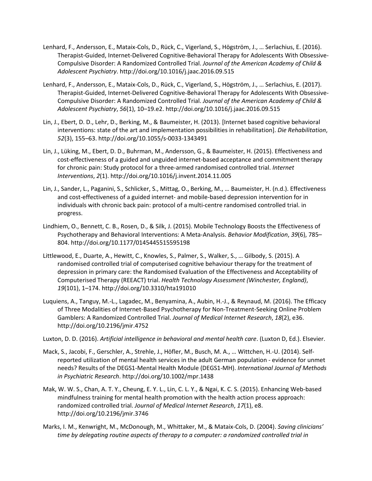- Lenhard, F., Andersson, E., Mataix-Cols, D., Rück, C., Vigerland, S., Högström, J., … Serlachius, E. (2016). Therapist-Guided, Internet-Delivered Cognitive-Behavioral Therapy for Adolescents With Obsessive-Compulsive Disorder: A Randomized Controlled Trial. *Journal of the American Academy of Child & Adolescent Psychiatry*. http://doi.org/10.1016/j.jaac.2016.09.515
- Lenhard, F., Andersson, E., Mataix-Cols, D., Rück, C., Vigerland, S., Högström, J., … Serlachius, E. (2017). Therapist-Guided, Internet-Delivered Cognitive-Behavioral Therapy for Adolescents With Obsessive-Compulsive Disorder: A Randomized Controlled Trial. *Journal of the American Academy of Child & Adolescent Psychiatry*, *56*(1), 10–19.e2. http://doi.org/10.1016/j.jaac.2016.09.515
- Lin, J., Ebert, D. D., Lehr, D., Berking, M., & Baumeister, H. (2013). [Internet based cognitive behavioral interventions: state of the art and implementation possibilities in rehabilitation]. *Die Rehabilitation*, *52*(3), 155–63. http://doi.org/10.1055/s-0033-1343491
- Lin, J., Lüking, M., Ebert, D. D., Buhrman, M., Andersson, G., & Baumeister, H. (2015). Effectiveness and cost-effectiveness of a guided and unguided internet-based acceptance and commitment therapy for chronic pain: Study protocol for a three-armed randomised controlled trial. *Internet Interventions*, *2*(1). http://doi.org/10.1016/j.invent.2014.11.005
- Lin, J., Sander, L., Paganini, S., Schlicker, S., Mittag, O., Berking, M., … Baumeister, H. (n.d.). Effectiveness and cost-effectiveness of a guided internet- and mobile-based depression intervention for in individuals with chronic back pain: protocol of a multi-centre randomised controlled trial. in progress.
- Lindhiem, O., Bennett, C. B., Rosen, D., & Silk, J. (2015). Mobile Technology Boosts the Effectiveness of Psychotherapy and Behavioral Interventions: A Meta-Analysis. *Behavior Modification*, *39*(6), 785– 804. http://doi.org/10.1177/0145445515595198
- Littlewood, E., Duarte, A., Hewitt, C., Knowles, S., Palmer, S., Walker, S., … Gilbody, S. (2015). A randomised controlled trial of computerised cognitive behaviour therapy for the treatment of depression in primary care: the Randomised Evaluation of the Effectiveness and Acceptability of Computerised Therapy (REEACT) trial. *Health Technology Assessment (Winchester, England)*, *19*(101), 1–174. http://doi.org/10.3310/hta191010
- Luquiens, A., Tanguy, M.-L., Lagadec, M., Benyamina, A., Aubin, H.-J., & Reynaud, M. (2016). The Efficacy of Three Modalities of Internet-Based Psychotherapy for Non-Treatment-Seeking Online Problem Gamblers: A Randomized Controlled Trial. *Journal of Medical Internet Research*, *18*(2), e36. http://doi.org/10.2196/jmir.4752
- Luxton, D. D. (2016). *Artificial intelligence in behavioral and mental health care*. (Luxton D, Ed.). Elsevier.
- Mack, S., Jacobi, F., Gerschler, A., Strehle, J., Höfler, M., Busch, M. A., … Wittchen, H.-U. (2014). Selfreported utilization of mental health services in the adult German population - evidence for unmet needs? Results of the DEGS1-Mental Health Module (DEGS1-MH). *International Journal of Methods in Psychiatric Research*. http://doi.org/10.1002/mpr.1438
- Mak, W. W. S., Chan, A. T. Y., Cheung, E. Y. L., Lin, C. L. Y., & Ngai, K. C. S. (2015). Enhancing Web-based mindfulness training for mental health promotion with the health action process approach: randomized controlled trial. *Journal of Medical Internet Research*, *17*(1), e8. http://doi.org/10.2196/jmir.3746
- Marks, I. M., Kenwright, M., McDonough, M., Whittaker, M., & Mataix-Cols, D. (2004). *Saving clinicians' time by delegating routine aspects of therapy to a computer: a randomized controlled trial in*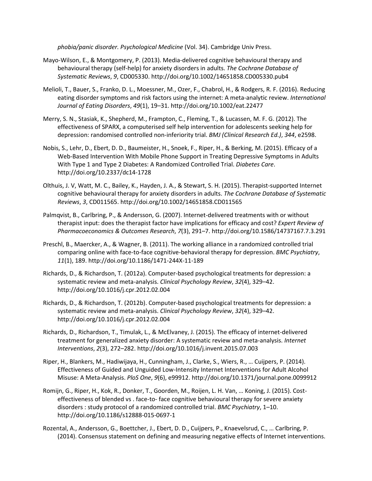*phobia/panic disorder. Psychological Medicine* (Vol. 34). Cambridge Univ Press.

- Mayo-Wilson, E., & Montgomery, P. (2013). Media-delivered cognitive behavioural therapy and behavioural therapy (self-help) for anxiety disorders in adults. *The Cochrane Database of Systematic Reviews*, *9*, CD005330. http://doi.org/10.1002/14651858.CD005330.pub4
- Melioli, T., Bauer, S., Franko, D. L., Moessner, M., Ozer, F., Chabrol, H., & Rodgers, R. F. (2016). Reducing eating disorder symptoms and risk factors using the internet: A meta-analytic review. *International Journal of Eating Disorders*, *49*(1), 19–31. http://doi.org/10.1002/eat.22477
- Merry, S. N., Stasiak, K., Shepherd, M., Frampton, C., Fleming, T., & Lucassen, M. F. G. (2012). The effectiveness of SPARX, a computerised self help intervention for adolescents seeking help for depression: randomised controlled non-inferiority trial. *BMJ (Clinical Research Ed.)*, *344*, e2598.
- Nobis, S., Lehr, D., Ebert, D. D., Baumeister, H., Snoek, F., Riper, H., & Berking, M. (2015). Efficacy of a Web-Based Intervention With Mobile Phone Support in Treating Depressive Symptoms in Adults With Type 1 and Type 2 Diabetes: A Randomized Controlled Trial. *Diabetes Care*. http://doi.org/10.2337/dc14-1728
- Olthuis, J. V, Watt, M. C., Bailey, K., Hayden, J. A., & Stewart, S. H. (2015). Therapist-supported Internet cognitive behavioural therapy for anxiety disorders in adults. *The Cochrane Database of Systematic Reviews*, *3*, CD011565. http://doi.org/10.1002/14651858.CD011565
- Palmqvist, B., Carlbring, P., & Andersson, G. (2007). Internet-delivered treatments with or without therapist input: does the therapist factor have implications for efficacy and cost? *Expert Review of Pharmacoeconomics & Outcomes Research*, *7*(3), 291–7. http://doi.org/10.1586/14737167.7.3.291
- Preschl, B., Maercker, A., & Wagner, B. (2011). The working alliance in a randomized controlled trial comparing online with face-to-face cognitive-behavioral therapy for depression. *BMC Psychiatry*, *11*(1), 189. http://doi.org/10.1186/1471-244X-11-189
- Richards, D., & Richardson, T. (2012a). Computer-based psychological treatments for depression: a systematic review and meta-analysis. *Clinical Psychology Review*, *32*(4), 329–42. http://doi.org/10.1016/j.cpr.2012.02.004
- Richards, D., & Richardson, T. (2012b). Computer-based psychological treatments for depression: a systematic review and meta-analysis. *Clinical Psychology Review*, *32*(4), 329–42. http://doi.org/10.1016/j.cpr.2012.02.004
- Richards, D., Richardson, T., Timulak, L., & McElvaney, J. (2015). The efficacy of internet-delivered treatment for generalized anxiety disorder: A systematic review and meta-analysis. *Internet Interventions*, *2*(3), 272–282. http://doi.org/10.1016/j.invent.2015.07.003
- Riper, H., Blankers, M., Hadiwijaya, H., Cunningham, J., Clarke, S., Wiers, R., … Cuijpers, P. (2014). Effectiveness of Guided and Unguided Low-Intensity Internet Interventions for Adult Alcohol Misuse: A Meta-Analysis. *PloS One*, *9*(6), e99912. http://doi.org/10.1371/journal.pone.0099912
- Romijn, G., Riper, H., Kok, R., Donker, T., Goorden, M., Roijen, L. H. Van, … Koning, J. (2015). Costeffectiveness of blended vs . face-to- face cognitive behavioural therapy for severe anxiety disorders : study protocol of a randomized controlled trial. *BMC Psychiatry*, 1–10. http://doi.org/10.1186/s12888-015-0697-1
- Rozental, A., Andersson, G., Boettcher, J., Ebert, D. D., Cuijpers, P., Knaevelsrud, C., … Carlbring, P. (2014). Consensus statement on defining and measuring negative effects of Internet interventions.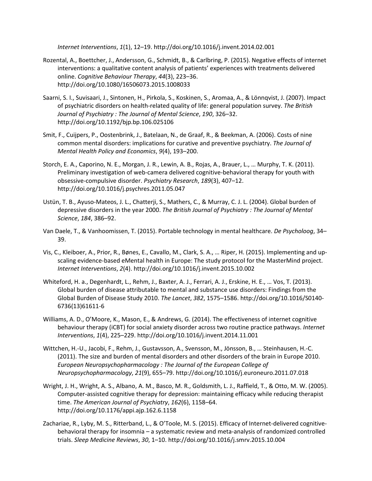*Internet Interventions*, *1*(1), 12–19. http://doi.org/10.1016/j.invent.2014.02.001

- Rozental, A., Boettcher, J., Andersson, G., Schmidt, B., & Carlbring, P. (2015). Negative effects of internet interventions: a qualitative content analysis of patients' experiences with treatments delivered online. *Cognitive Behaviour Therapy*, *44*(3), 223–36. http://doi.org/10.1080/16506073.2015.1008033
- Saarni, S. I., Suvisaari, J., Sintonen, H., Pirkola, S., Koskinen, S., Aromaa, A., & Lönnqvist, J. (2007). Impact of psychiatric disorders on health-related quality of life: general population survey. *The British Journal of Psychiatry : The Journal of Mental Science*, *190*, 326–32. http://doi.org/10.1192/bjp.bp.106.025106
- Smit, F., Cuijpers, P., Oostenbrink, J., Batelaan, N., de Graaf, R., & Beekman, A. (2006). Costs of nine common mental disorders: implications for curative and preventive psychiatry. *The Journal of Mental Health Policy and Economics*, *9*(4), 193–200.
- Storch, E. A., Caporino, N. E., Morgan, J. R., Lewin, A. B., Rojas, A., Brauer, L., … Murphy, T. K. (2011). Preliminary investigation of web-camera delivered cognitive-behavioral therapy for youth with obsessive-compulsive disorder. *Psychiatry Research*, *189*(3), 407–12. http://doi.org/10.1016/j.psychres.2011.05.047
- Ustün, T. B., Ayuso-Mateos, J. L., Chatterji, S., Mathers, C., & Murray, C. J. L. (2004). Global burden of depressive disorders in the year 2000. *The British Journal of Psychiatry : The Journal of Mental Science*, *184*, 386–92.
- Van Daele, T., & Vanhoomissen, T. (2015). Portable technology in mental healthcare. *De Psycholoog*, 34– 39.
- Vis, C., Kleiboer, A., Prior, R., Bønes, E., Cavallo, M., Clark, S. A., … Riper, H. (2015). Implementing and upscaling evidence-based eMental health in Europe: The study protocol for the MasterMind project. *Internet Interventions*, *2*(4). http://doi.org/10.1016/j.invent.2015.10.002
- Whiteford, H. a., Degenhardt, L., Rehm, J., Baxter, A. J., Ferrari, A. J., Erskine, H. E., … Vos, T. (2013). Global burden of disease attributable to mental and substance use disorders: Findings from the Global Burden of Disease Study 2010. *The Lancet*, *382*, 1575–1586. http://doi.org/10.1016/S0140- 6736(13)61611-6
- Williams, A. D., O'Moore, K., Mason, E., & Andrews, G. (2014). The effectiveness of internet cognitive behaviour therapy (iCBT) for social anxiety disorder across two routine practice pathways. *Internet Interventions*, *1*(4), 225–229. http://doi.org/10.1016/j.invent.2014.11.001
- Wittchen, H.-U., Jacobi, F., Rehm, J., Gustavsson, A., Svensson, M., Jönsson, B., … Steinhausen, H.-C. (2011). The size and burden of mental disorders and other disorders of the brain in Europe 2010. *European Neuropsychopharmacology : The Journal of the European College of Neuropsychopharmacology*, *21*(9), 655–79. http://doi.org/10.1016/j.euroneuro.2011.07.018
- Wright, J. H., Wright, A. S., Albano, A. M., Basco, M. R., Goldsmith, L. J., Raffield, T., & Otto, M. W. (2005). Computer-assisted cognitive therapy for depression: maintaining efficacy while reducing therapist time. *The American Journal of Psychiatry*, *162*(6), 1158–64. http://doi.org/10.1176/appi.ajp.162.6.1158
- Zachariae, R., Lyby, M. S., Ritterband, L., & O'Toole, M. S. (2015). Efficacy of Internet-delivered cognitivebehavioral therapy for insomnia – a systematic review and meta-analysis of randomized controlled trials. *Sleep Medicine Reviews*, *30*, 1–10. http://doi.org/10.1016/j.smrv.2015.10.004